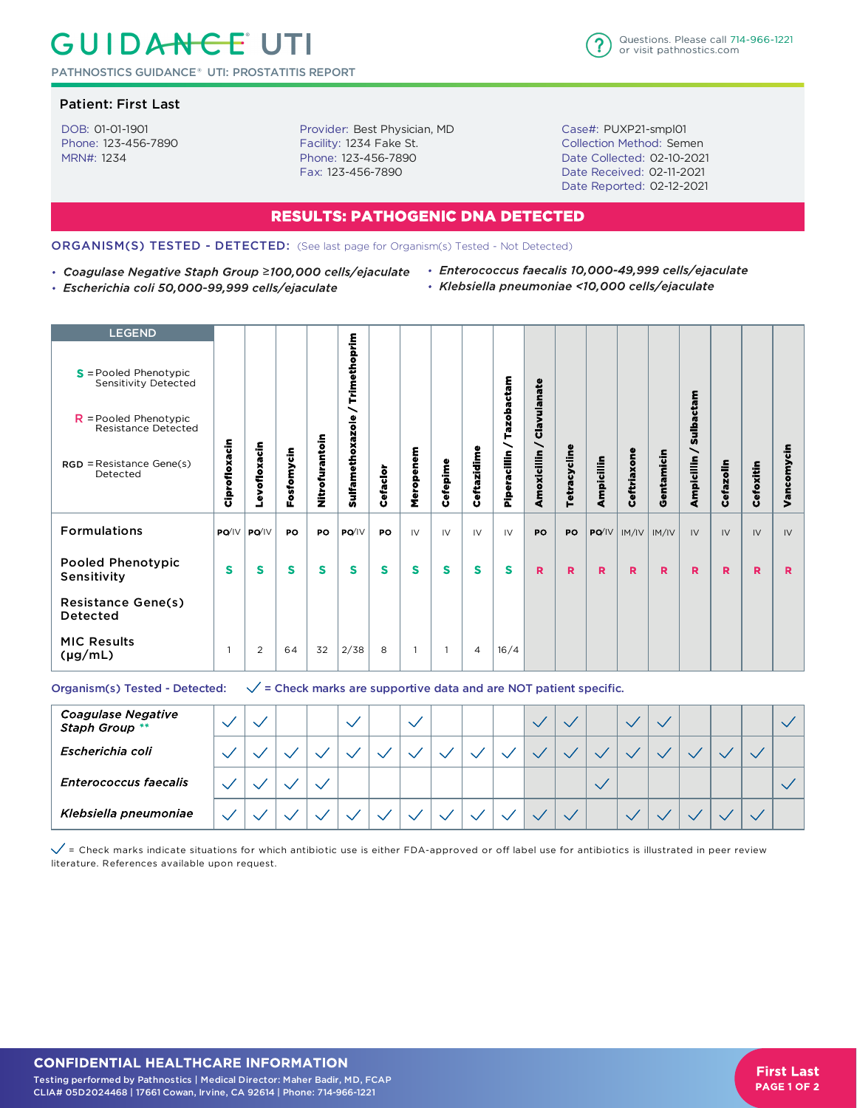# **GUIDANCE UTI**

PATHNOSTICS GUIDANCE® UTI: PROSTATITIS REPORT

### Patient: First Last

DOB: 01-01-1901 Phone: 123-456-7890 MRN#: 1234

Provider: Best Physician, MD Facility: 1234 Fake St. Phone: 123-456-7890 Fax: 123-456-7890



Case#: PUXP21-smpl01 Collection Method: Semen Date Collected: 02-10-2021 Date Received: 02-11-2021 Date Reported: 02-12-2021

## **RESULTS: PATHOGENIC DNA DETECTED**

#### ORGANISM(S) TESTED - DETECTED: (See last page for Organism(s) Tested - Not Detected)

- 
- · Escherichia coli 50,000-99,999 cells/ejaculate
- Coagulase Negative Staph Group ≥100,000 cells/ejaculate Enterococcus faecalis 10,000-49,999 cells/ejaculate · Klebsiella pneumoniae <10,000 cells/ejaculate

| <b>LEGEND</b>                                         |               |                     |            |                |                         |          |                |          |                |               |                  |              |            |                  |            |                 |           |           |            |
|-------------------------------------------------------|---------------|---------------------|------------|----------------|-------------------------|----------|----------------|----------|----------------|---------------|------------------|--------------|------------|------------------|------------|-----------------|-----------|-----------|------------|
| $S =$ Pooled Phenotypic<br>Sensitivity Detected       |               |                     |            |                | Trimethoprim            |          |                |          |                |               |                  |              |            |                  |            |                 |           |           |            |
| $R =$ Pooled Phenotypic<br><b>Resistance Detected</b> |               |                     |            |                | ∼                       |          |                |          |                | Tazobactam    | Clavulanate      |              |            |                  |            | Sulbactam       |           |           |            |
| $RGD = Resistance Gene(s)$<br>Detected                | Ciprofloxacin | Levofloxacin        | Fosfomycin | Nitrofurantoin | <b>Sulfamethoxazole</b> | Cefaclor | Meropenem      | Cefepime | Ceftazidime    | Piperacillin  | ╰<br>Amoxicillin | Tetracycline | Ampicillin | Ceftriaxone      | Gentamicin | ╮<br>Ampicillin | Cefazolin | Cefoxitin | Vancomycin |
| <b>Formulations</b>                                   |               | $PQ'$ $V$ $PQ'$ $V$ | PO         | PO             | PO/IV                   | PO       | IV             | IV       | IV             | $\mathsf{IV}$ | PO               | PO           |            | $PO/IV$ $ M/IV $ | IM/IV      | IV              | IV        | IV        | IV         |
| <b>Pooled Phenotypic</b><br>Sensitivity               | $\mathbf{s}$  | S                   | S          | S              | S                       | S        | S              | s        | S              | S             | R                | R            | R          | R                | R          | R               | R         | R         | R          |
| <b>Resistance Gene(s)</b><br><b>Detected</b>          |               |                     |            |                |                         |          |                |          |                |               |                  |              |            |                  |            |                 |           |           |            |
| <b>MIC Results</b><br>$(\mu g/mL)$                    | -1            | 2                   | 64         | 32             | 2/38                    | 8        | $\overline{1}$ |          | $\overline{4}$ | 16/4          |                  |              |            |                  |            |                 |           |           |            |

#### Organism(s) Tested - Detected:  $\sqrt{\frac{1}{2}}$  = Check marks are supportive data and are NOT patient specific.

| <b>Coagulase Negative</b><br>Staph Group ** |  |  |  |  |  |  |  |  |  |  |
|---------------------------------------------|--|--|--|--|--|--|--|--|--|--|
| Escherichia coli                            |  |  |  |  |  |  |  |  |  |  |
| <b>Enterococcus faecalis</b>                |  |  |  |  |  |  |  |  |  |  |
| Klebsiella pneumoniae                       |  |  |  |  |  |  |  |  |  |  |

 $\checkmark$  = Check marks indicate situations for which antibiotic use is either FDA-approved or off label use for antibiotics is illustrated in peer review literature. References available upon request.